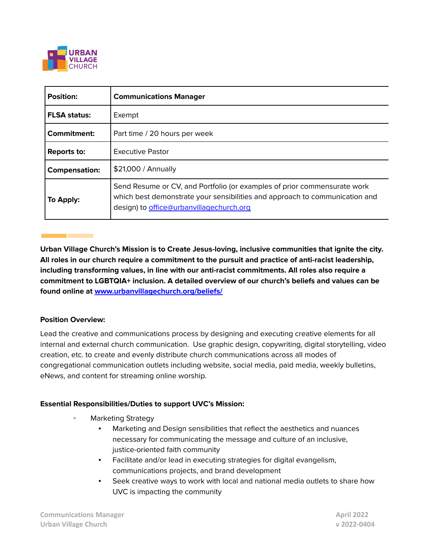

| <b>Position:</b>     | <b>Communications Manager</b>                                                                                                                                                                       |
|----------------------|-----------------------------------------------------------------------------------------------------------------------------------------------------------------------------------------------------|
| <b>FLSA status:</b>  | Exempt                                                                                                                                                                                              |
| Commitment:          | Part time / 20 hours per week                                                                                                                                                                       |
| <b>Reports to:</b>   | <b>Executive Pastor</b>                                                                                                                                                                             |
| <b>Compensation:</b> | \$21,000 / Annually                                                                                                                                                                                 |
| To Apply:            | Send Resume or CV, and Portfolio (or examples of prior commensurate work<br>which best demonstrate your sensibilities and approach to communication and<br>design) to office@urbanvillagechurch.org |

**Urban Village Church's Mission is to Create Jesus-loving, inclusive communities that ignite the city. All roles in our church require a commitment to the pursuit and practice of anti-racist leadership, including transforming values, in line with our anti-racist commitments. All roles also require a commitment to LGBTQIA+ inclusion. A detailed overview of our church's beliefs and values can be found online at [www.urbanvillagechurch.org/beliefs/](http://www.urbanvillagechurch.org/beliefs/)**

### **Position Overview:**

Lead the creative and communications process by designing and executing creative elements for all internal and external church communication. Use graphic design, copywriting, digital storytelling, video creation, etc. to create and evenly distribute church communications across all modes of congregational communication outlets including website, social media, paid media, weekly bulletins, eNews, and content for streaming online worship.

### **Essential Responsibilities/Duties to support UVC's Mission:**

- Marketing Strategy
	- Marketing and Design sensibilities that reflect the aesthetics and nuances necessary for communicating the message and culture of an inclusive, justice-oriented faith community
	- Facilitate and/or lead in executing strategies for digital evangelism, communications projects, and brand development
	- Seek creative ways to work with local and national media outlets to share how UVC is impacting the community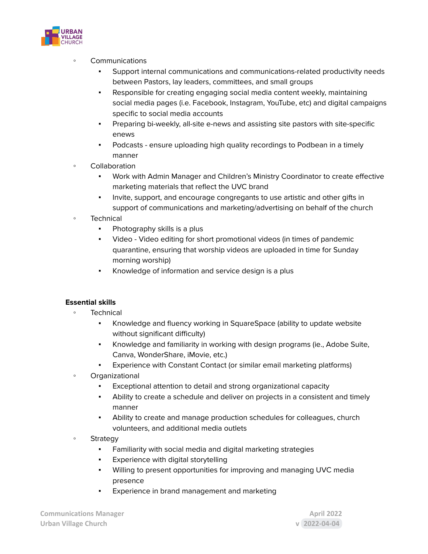

- **Communications** 
	- Support internal communications and communications-related productivity needs between Pastors, lay leaders, committees, and small groups
	- Responsible for creating engaging social media content weekly, maintaining social media pages (i.e. Facebook, Instagram, YouTube, etc) and digital campaigns specific to social media accounts
	- Preparing bi-weekly, all-site e-news and assisting site pastors with site-specific enews
	- Podcasts ensure uploading high quality recordings to Podbean in a timely manner
- Collaboration
	- Work with Admin Manager and Children's Ministry Coordinator to create effective marketing materials that reflect the UVC brand
	- Invite, support, and encourage congregants to use artistic and other gifts in support of communications and marketing/advertising on behalf of the church
- Technical
	- **•** Photography skills is a plus
	- Video Video editing for short promotional videos (in times of pandemic quarantine, ensuring that worship videos are uploaded in time for Sunday morning worship)
	- Knowledge of information and service design is a plus

# **Essential skills**

- **Technical** 
	- Knowledge and fluency working in SquareSpace (ability to update website without significant difficulty)
	- Knowledge and familiarity in working with design programs (ie., Adobe Suite, Canva, WonderShare, iMovie, etc.)
	- Experience with Constant Contact (or similar email marketing platforms)
- Organizational
	- Exceptional attention to detail and strong organizational capacity
	- Ability to create a schedule and deliver on projects in a consistent and timely manner
	- Ability to create and manage production schedules for colleagues, church volunteers, and additional media outlets
- Strategy
	- Familiarity with social media and digital marketing strategies
	- **•** Experience with digital storytelling
	- Willing to present opportunities for improving and managing UVC media presence
	- Experience in brand management and marketing